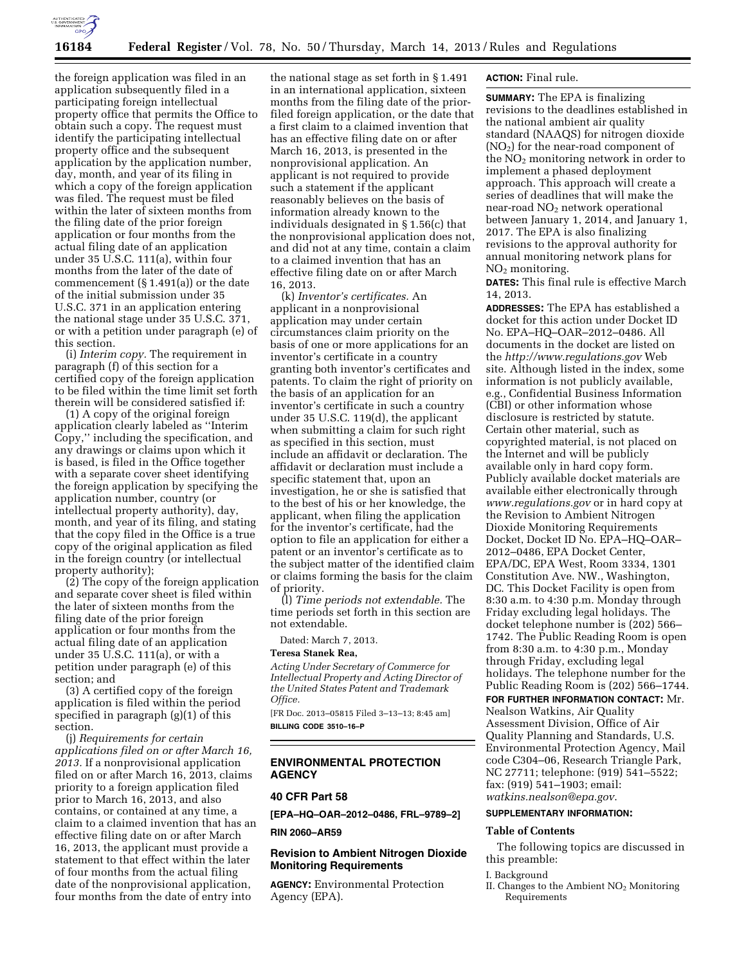

the foreign application was filed in an application subsequently filed in a participating foreign intellectual property office that permits the Office to obtain such a copy. The request must identify the participating intellectual property office and the subsequent application by the application number, day, month, and year of its filing in which a copy of the foreign application was filed. The request must be filed within the later of sixteen months from the filing date of the prior foreign application or four months from the actual filing date of an application under 35 U.S.C. 111(a), within four months from the later of the date of commencement (§ 1.491(a)) or the date of the initial submission under 35 U.S.C. 371 in an application entering the national stage under 35 U.S.C. 371, or with a petition under paragraph (e) of this section.

(i) *Interim copy.* The requirement in paragraph (f) of this section for a certified copy of the foreign application to be filed within the time limit set forth therein will be considered satisfied if:

(1) A copy of the original foreign application clearly labeled as ''Interim Copy,'' including the specification, and any drawings or claims upon which it is based, is filed in the Office together with a separate cover sheet identifying the foreign application by specifying the application number, country (or intellectual property authority), day, month, and year of its filing, and stating that the copy filed in the Office is a true copy of the original application as filed in the foreign country (or intellectual property authority);

(2) The copy of the foreign application and separate cover sheet is filed within the later of sixteen months from the filing date of the prior foreign application or four months from the actual filing date of an application under 35 U.S.C. 111(a), or with a petition under paragraph (e) of this section; and

(3) A certified copy of the foreign application is filed within the period specified in paragraph (g)(1) of this section.

(j) *Requirements for certain applications filed on or after March 16, 2013.* If a nonprovisional application filed on or after March 16, 2013, claims priority to a foreign application filed prior to March 16, 2013, and also contains, or contained at any time, a claim to a claimed invention that has an effective filing date on or after March 16, 2013, the applicant must provide a statement to that effect within the later of four months from the actual filing date of the nonprovisional application, four months from the date of entry into

the national stage as set forth in § 1.491 in an international application, sixteen months from the filing date of the priorfiled foreign application, or the date that a first claim to a claimed invention that has an effective filing date on or after March 16, 2013, is presented in the nonprovisional application. An applicant is not required to provide such a statement if the applicant reasonably believes on the basis of information already known to the individuals designated in § 1.56(c) that the nonprovisional application does not, and did not at any time, contain a claim to a claimed invention that has an effective filing date on or after March 16, 2013.

(k) *Inventor's certificates.* An applicant in a nonprovisional application may under certain circumstances claim priority on the basis of one or more applications for an inventor's certificate in a country granting both inventor's certificates and patents. To claim the right of priority on the basis of an application for an inventor's certificate in such a country under 35 U.S.C. 119(d), the applicant when submitting a claim for such right as specified in this section, must include an affidavit or declaration. The affidavit or declaration must include a specific statement that, upon an investigation, he or she is satisfied that to the best of his or her knowledge, the applicant, when filing the application for the inventor's certificate, had the option to file an application for either a patent or an inventor's certificate as to the subject matter of the identified claim or claims forming the basis for the claim of priority.

(l) *Time periods not extendable.* The time periods set forth in this section are not extendable.

Dated: March 7, 2013.

#### **Teresa Stanek Rea,**

*Acting Under Secretary of Commerce for Intellectual Property and Acting Director of the United States Patent and Trademark Office.* 

[FR Doc. 2013–05815 Filed 3–13–13; 8:45 am] **BILLING CODE 3510–16–P** 

# **ENVIRONMENTAL PROTECTION AGENCY**

## **40 CFR Part 58**

**[EPA–HQ–OAR–2012–0486, FRL–9789–2]** 

**RIN 2060–AR59** 

## **Revision to Ambient Nitrogen Dioxide Monitoring Requirements**

**AGENCY:** Environmental Protection Agency (EPA).

# **ACTION:** Final rule.

**SUMMARY:** The EPA is finalizing revisions to the deadlines established in the national ambient air quality standard (NAAQS) for nitrogen dioxide (NO2) for the near-road component of the  $NO<sub>2</sub>$  monitoring network in order to implement a phased deployment approach. This approach will create a series of deadlines that will make the near-road  $NO<sub>2</sub>$  network operational between January 1, 2014, and January 1, 2017. The EPA is also finalizing revisions to the approval authority for annual monitoring network plans for  $NO<sub>2</sub>$  monitoring.

**DATES:** This final rule is effective March 14, 2013.

**ADDRESSES:** The EPA has established a docket for this action under Docket ID No. EPA–HQ–OAR–2012–0486. All documents in the docket are listed on the *<http://www.regulations.gov>*Web site. Although listed in the index, some information is not publicly available, e.g., Confidential Business Information (CBI) or other information whose disclosure is restricted by statute. Certain other material, such as copyrighted material, is not placed on the Internet and will be publicly available only in hard copy form. Publicly available docket materials are available either electronically through *[www.regulations.gov](http://www.regulations.gov)* or in hard copy at the Revision to Ambient Nitrogen Dioxide Monitoring Requirements Docket, Docket ID No. EPA–HQ–OAR– 2012–0486, EPA Docket Center, EPA/DC, EPA West, Room 3334, 1301 Constitution Ave. NW., Washington, DC. This Docket Facility is open from 8:30 a.m. to 4:30 p.m. Monday through Friday excluding legal holidays. The docket telephone number is (202) 566– 1742. The Public Reading Room is open from 8:30 a.m. to 4:30 p.m., Monday through Friday, excluding legal holidays. The telephone number for the Public Reading Room is (202) 566–1744.

# **FOR FURTHER INFORMATION CONTACT:** Mr.

Nealson Watkins, Air Quality Assessment Division, Office of Air Quality Planning and Standards, U.S. Environmental Protection Agency, Mail code C304–06, Research Triangle Park, NC 27711; telephone: (919) 541–5522; fax: (919) 541–1903; email: *[watkins.nealson@epa.gov](mailto:watkins.nealson@epa.gov)*.

#### **SUPPLEMENTARY INFORMATION:**

#### **Table of Contents**

The following topics are discussed in this preamble:

#### I. Background

II. Changes to the Ambient NO2 Monitoring Requirements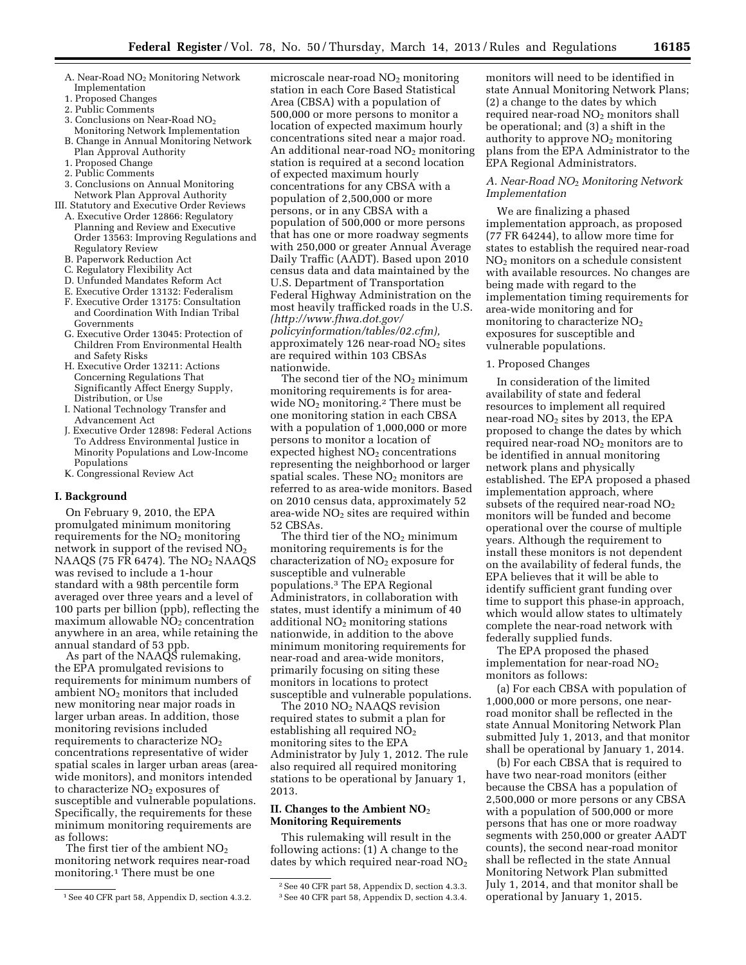- A. Near-Road NO2 Monitoring Network Implementation
- 1. Proposed Changes
- 2. Public Comments
- 3. Conclusions on Near-Road NO2 Monitoring Network Implementation
- B. Change in Annual Monitoring Network Plan Approval Authority
- 1. Proposed Change
- 2. Public Comments
- 3. Conclusions on Annual Monitoring Network Plan Approval Authority
- III. Statutory and Executive Order Reviews A. Executive Order 12866: Regulatory Planning and Review and Executive Order 13563: Improving Regulations and
	- Regulatory Review B. Paperwork Reduction Act
	- C. Regulatory Flexibility Act
	- D. Unfunded Mandates Reform Act
	- E. Executive Order 13132: Federalism
	- F. Executive Order 13175: Consultation and Coordination With Indian Tribal Governments
	- G. Executive Order 13045: Protection of Children From Environmental Health and Safety Risks
	- H. Executive Order 13211: Actions Concerning Regulations That Significantly Affect Energy Supply, Distribution, or Use
	- I. National Technology Transfer and Advancement Act
	- J. Executive Order 12898: Federal Actions To Address Environmental Justice in Minority Populations and Low-Income Populations
	- K. Congressional Review Act

#### **I. Background**

On February 9, 2010, the EPA promulgated minimum monitoring requirements for the  $NO<sub>2</sub>$  monitoring network in support of the revised  $NO<sub>2</sub>$ NAAQS (75 FR 6474). The  $NO<sub>2</sub>$  NAAQS was revised to include a 1-hour standard with a 98th percentile form averaged over three years and a level of 100 parts per billion (ppb), reflecting the  $maximum$  allowable  $\overline{NO}_2$  concentration anywhere in an area, while retaining the annual standard of 53 ppb.

As part of the NAAQS rulemaking, the EPA promulgated revisions to requirements for minimum numbers of ambient  $NO<sub>2</sub>$  monitors that included new monitoring near major roads in larger urban areas. In addition, those monitoring revisions included requirements to characterize NO2 concentrations representative of wider spatial scales in larger urban areas (areawide monitors), and monitors intended to characterize  $NO<sub>2</sub>$  exposures of susceptible and vulnerable populations. Specifically, the requirements for these minimum monitoring requirements are as follows:

The first tier of the ambient  $NO<sub>2</sub>$ monitoring network requires near-road monitoring.1 There must be one

microscale near-road NO2 monitoring station in each Core Based Statistical Area (CBSA) with a population of 500,000 or more persons to monitor a location of expected maximum hourly concentrations sited near a major road. An additional near-road  $NO<sub>2</sub>$  monitoring station is required at a second location of expected maximum hourly concentrations for any CBSA with a population of 2,500,000 or more persons, or in any CBSA with a population of 500,000 or more persons that has one or more roadway segments with 250,000 or greater Annual Average Daily Traffic (AADT). Based upon 2010 census data and data maintained by the U.S. Department of Transportation Federal Highway Administration on the most heavily trafficked roads in the U.S. *([http://www.fhwa.dot.gov/](http://www.fhwa.dot.gov/policyinformation/tables/02.cfm) [policyinformation/tables/02.cfm\),](http://www.fhwa.dot.gov/policyinformation/tables/02.cfm)*  approximately 126 near-road  $NO<sub>2</sub>$  sites are required within 103 CBSAs nationwide.

The second tier of the  $NO<sub>2</sub>$  minimum monitoring requirements is for areawide  $NO<sub>2</sub>$  monitoring.<sup>2</sup> There must be one monitoring station in each CBSA with a population of 1,000,000 or more persons to monitor a location of expected highest  $NO<sub>2</sub>$  concentrations representing the neighborhood or larger spatial scales. These  $NO<sub>2</sub>$  monitors are referred to as area-wide monitors. Based on 2010 census data, approximately 52 area-wide  $NO<sub>2</sub>$  sites are required within 52 CBSAs.

The third tier of the  $NO<sub>2</sub>$  minimum monitoring requirements is for the characterization of  $NO<sub>2</sub>$  exposure for susceptible and vulnerable populations.3 The EPA Regional Administrators, in collaboration with states, must identify a minimum of 40 additional  $NO<sub>2</sub>$  monitoring stations nationwide, in addition to the above minimum monitoring requirements for near-road and area-wide monitors, primarily focusing on siting these monitors in locations to protect susceptible and vulnerable populations.

The 2010 NO<sub>2</sub> NAAQS revision required states to submit a plan for establishing all required NO<sub>2</sub> monitoring sites to the EPA Administrator by July 1, 2012. The rule also required all required monitoring stations to be operational by January 1, 2013.

## **II. Changes to the Ambient NO**2 **Monitoring Requirements**

This rulemaking will result in the following actions: (1) A change to the dates by which required near-road NO<sub>2</sub>

monitors will need to be identified in state Annual Monitoring Network Plans; (2) a change to the dates by which required near-road NO<sub>2</sub> monitors shall be operational; and (3) a shift in the authority to approve  $NO<sub>2</sub>$  monitoring plans from the EPA Administrator to the EPA Regional Administrators.

### *A. Near-Road NO*2 *Monitoring Network Implementation*

We are finalizing a phased implementation approach, as proposed (77 FR 64244), to allow more time for states to establish the required near-road NO2 monitors on a schedule consistent with available resources. No changes are being made with regard to the implementation timing requirements for area-wide monitoring and for monitoring to characterize  $NO<sub>2</sub>$ exposures for susceptible and vulnerable populations.

## 1. Proposed Changes

In consideration of the limited availability of state and federal resources to implement all required near-road  $NO<sub>2</sub>$  sites by 2013, the EPA proposed to change the dates by which required near-road NO2 monitors are to be identified in annual monitoring network plans and physically established. The EPA proposed a phased implementation approach, where subsets of the required near-road  $NO<sub>2</sub>$ monitors will be funded and become operational over the course of multiple years. Although the requirement to install these monitors is not dependent on the availability of federal funds, the EPA believes that it will be able to identify sufficient grant funding over time to support this phase-in approach, which would allow states to ultimately complete the near-road network with federally supplied funds.

The EPA proposed the phased implementation for near-road NO<sub>2</sub> monitors as follows:

(a) For each CBSA with population of 1,000,000 or more persons, one nearroad monitor shall be reflected in the state Annual Monitoring Network Plan submitted July 1, 2013, and that monitor shall be operational by January 1, 2014.

(b) For each CBSA that is required to have two near-road monitors (either because the CBSA has a population of 2,500,000 or more persons or any CBSA with a population of 500,000 or more persons that has one or more roadway segments with 250,000 or greater AADT counts), the second near-road monitor shall be reflected in the state Annual Monitoring Network Plan submitted July 1, 2014, and that monitor shall be operational by January 1, 2015.

<sup>1</sup>See 40 CFR part 58, Appendix D, section 4.3.2.

<sup>2</sup>See 40 CFR part 58, Appendix D, section 4.3.3. 3See 40 CFR part 58, Appendix D, section 4.3.4.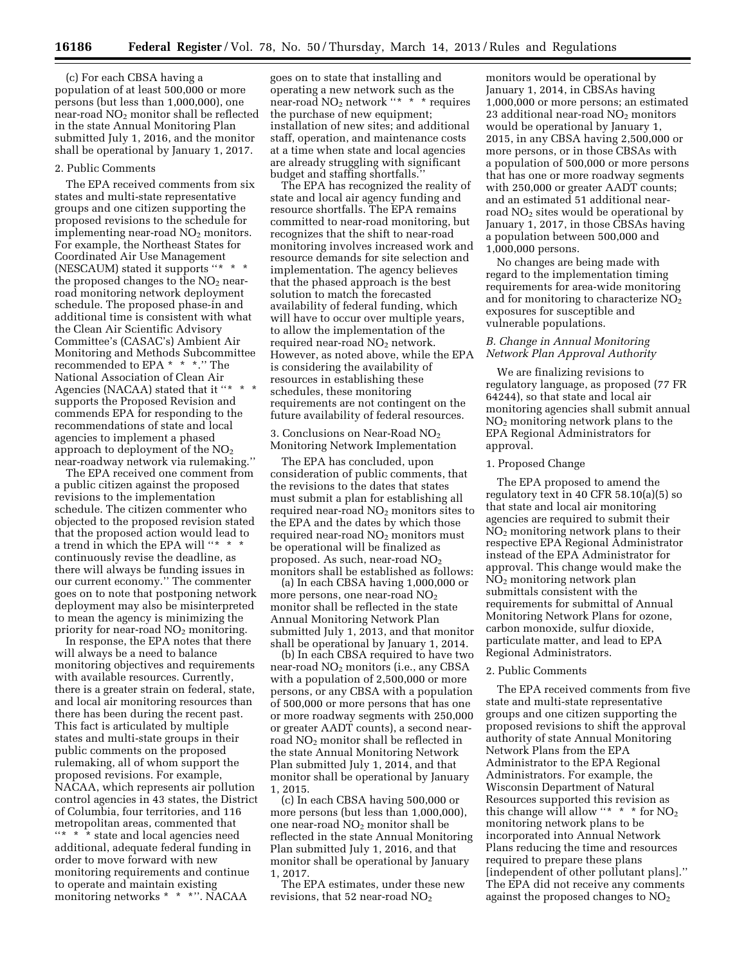(c) For each CBSA having a population of at least 500,000 or more persons (but less than 1,000,000), one near-road  $NO<sub>2</sub>$  monitor shall be reflected in the state Annual Monitoring Plan submitted July 1, 2016, and the monitor shall be operational by January 1, 2017.

## 2. Public Comments

The EPA received comments from six states and multi-state representative groups and one citizen supporting the proposed revisions to the schedule for implementing near-road  $NO<sub>2</sub>$  monitors. For example, the Northeast States for Coordinated Air Use Management (NESCAUM) stated it supports "\* \* \* the proposed changes to the  $NO<sub>2</sub>$  nearroad monitoring network deployment schedule. The proposed phase-in and additional time is consistent with what the Clean Air Scientific Advisory Committee's (CASAC's) Ambient Air Monitoring and Methods Subcommittee recommended to EPA \* \* \*.'' The National Association of Clean Air Agencies (NACAA) stated that it "\* \* supports the Proposed Revision and commends EPA for responding to the recommendations of state and local agencies to implement a phased approach to deployment of the NO2 near-roadway network via rulemaking.''

The EPA received one comment from a public citizen against the proposed revisions to the implementation schedule. The citizen commenter who objected to the proposed revision stated that the proposed action would lead to a trend in which the EPA will ''\* \* \* continuously revise the deadline, as there will always be funding issues in our current economy.'' The commenter goes on to note that postponing network deployment may also be misinterpreted to mean the agency is minimizing the priority for near-road NO<sub>2</sub> monitoring.

In response, the EPA notes that there will always be a need to balance monitoring objectives and requirements with available resources. Currently, there is a greater strain on federal, state, and local air monitoring resources than there has been during the recent past. This fact is articulated by multiple states and multi-state groups in their public comments on the proposed rulemaking, all of whom support the proposed revisions. For example, NACAA, which represents air pollution control agencies in 43 states, the District of Columbia, four territories, and 116 metropolitan areas, commented that ''\* \* \* state and local agencies need additional, adequate federal funding in order to move forward with new monitoring requirements and continue to operate and maintain existing monitoring networks \* \* \*". NACAA

goes on to state that installing and operating a new network such as the near-road NO<sub>2</sub> network "\* \* \* requires the purchase of new equipment; installation of new sites; and additional staff, operation, and maintenance costs at a time when state and local agencies are already struggling with significant budget and staffing shortfalls.''

The EPA has recognized the reality of state and local air agency funding and resource shortfalls. The EPA remains committed to near-road monitoring, but recognizes that the shift to near-road monitoring involves increased work and resource demands for site selection and implementation. The agency believes that the phased approach is the best solution to match the forecasted availability of federal funding, which will have to occur over multiple years, to allow the implementation of the required near-road  $NO<sub>2</sub>$  network. However, as noted above, while the EPA is considering the availability of resources in establishing these schedules, these monitoring requirements are not contingent on the future availability of federal resources.

3. Conclusions on Near-Road NO<sub>2</sub> Monitoring Network Implementation

The EPA has concluded, upon consideration of public comments, that the revisions to the dates that states must submit a plan for establishing all required near-road  $NO<sub>2</sub>$  monitors sites to the EPA and the dates by which those required near-road  $NO<sub>2</sub>$  monitors must be operational will be finalized as proposed. As such, near-road NO2 monitors shall be established as follows:

(a) In each CBSA having 1,000,000 or more persons, one near-road  $NO<sub>2</sub>$ monitor shall be reflected in the state Annual Monitoring Network Plan submitted July 1, 2013, and that monitor shall be operational by January 1, 2014.

(b) In each CBSA required to have two near-road  $NO<sub>2</sub>$  monitors (i.e., any CBSA with a population of 2,500,000 or more persons, or any CBSA with a population of 500,000 or more persons that has one or more roadway segments with 250,000 or greater AADT counts), a second nearroad NO<sub>2</sub> monitor shall be reflected in the state Annual Monitoring Network Plan submitted July 1, 2014, and that monitor shall be operational by January 1, 2015.

(c) In each CBSA having 500,000 or more persons (but less than 1,000,000), one near-road NO2 monitor shall be reflected in the state Annual Monitoring Plan submitted July 1, 2016, and that monitor shall be operational by January 1, 2017.

The EPA estimates, under these new revisions, that 52 near-road NO2

monitors would be operational by January 1, 2014, in CBSAs having 1,000,000 or more persons; an estimated 23 additional near-road NO2 monitors would be operational by January 1, 2015, in any CBSA having 2,500,000 or more persons, or in those CBSAs with a population of 500,000 or more persons that has one or more roadway segments with 250,000 or greater AADT counts; and an estimated 51 additional nearroad  $NO<sub>2</sub>$  sites would be operational by January 1, 2017, in those CBSAs having a population between 500,000 and 1,000,000 persons.

No changes are being made with regard to the implementation timing requirements for area-wide monitoring and for monitoring to characterize  $NO<sub>2</sub>$ exposures for susceptible and vulnerable populations.

## *B. Change in Annual Monitoring Network Plan Approval Authority*

We are finalizing revisions to regulatory language, as proposed (77 FR 64244), so that state and local air monitoring agencies shall submit annual NO2 monitoring network plans to the EPA Regional Administrators for approval.

## 1. Proposed Change

The EPA proposed to amend the regulatory text in 40 CFR 58.10(a)(5) so that state and local air monitoring agencies are required to submit their NO2 monitoring network plans to their respective EPA Regional Administrator instead of the EPA Administrator for approval. This change would make the NO2 monitoring network plan submittals consistent with the requirements for submittal of Annual Monitoring Network Plans for ozone, carbon monoxide, sulfur dioxide, particulate matter, and lead to EPA Regional Administrators.

#### 2. Public Comments

The EPA received comments from five state and multi-state representative groups and one citizen supporting the proposed revisions to shift the approval authority of state Annual Monitoring Network Plans from the EPA Administrator to the EPA Regional Administrators. For example, the Wisconsin Department of Natural Resources supported this revision as this change will allow "\*  $*$  \* for  $NO<sub>2</sub>$ monitoring network plans to be incorporated into Annual Network Plans reducing the time and resources required to prepare these plans [independent of other pollutant plans].'' The EPA did not receive any comments against the proposed changes to NO2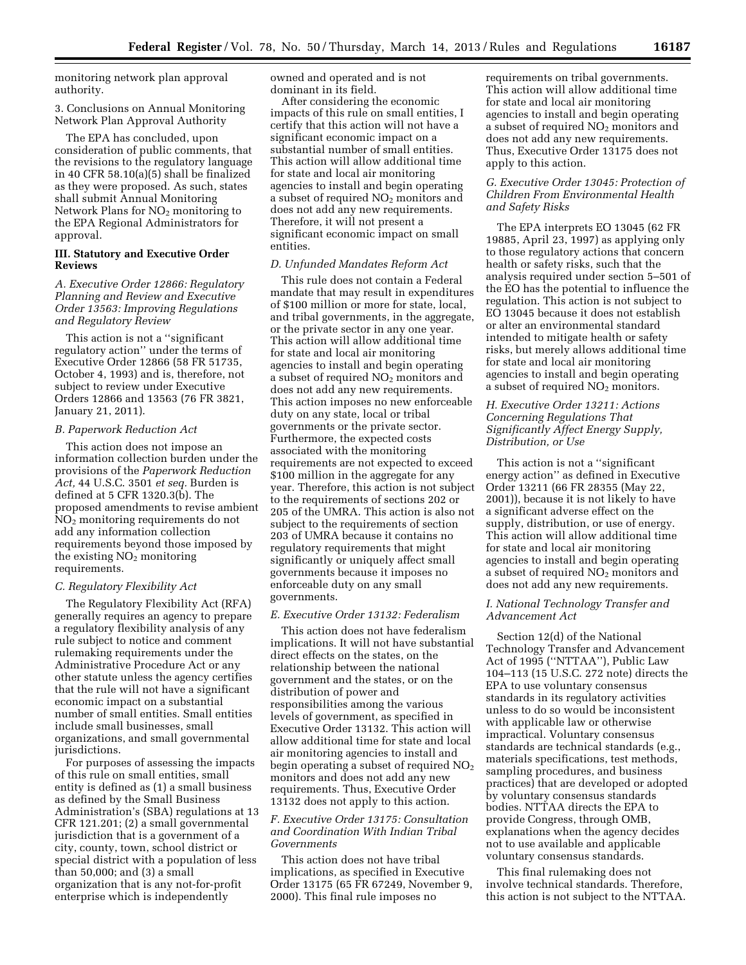monitoring network plan approval authority.

3. Conclusions on Annual Monitoring Network Plan Approval Authority

The EPA has concluded, upon consideration of public comments, that the revisions to the regulatory language in 40 CFR 58.10(a)(5) shall be finalized as they were proposed. As such, states shall submit Annual Monitoring Network Plans for  $NO<sub>2</sub>$  monitoring to the EPA Regional Administrators for approval.

### **III. Statutory and Executive Order Reviews**

*A. Executive Order 12866: Regulatory Planning and Review and Executive Order 13563: Improving Regulations and Regulatory Review* 

This action is not a ''significant regulatory action'' under the terms of Executive Order 12866 (58 FR 51735, October 4, 1993) and is, therefore, not subject to review under Executive Orders 12866 and 13563 (76 FR 3821, January 21, 2011).

## *B. Paperwork Reduction Act*

This action does not impose an information collection burden under the provisions of the *Paperwork Reduction Act,* 44 U.S.C. 3501 *et seq.* Burden is defined at 5 CFR 1320.3(b). The proposed amendments to revise ambient NO2 monitoring requirements do not add any information collection requirements beyond those imposed by the existing  $NO<sub>2</sub>$  monitoring requirements.

## *C. Regulatory Flexibility Act*

The Regulatory Flexibility Act (RFA) generally requires an agency to prepare a regulatory flexibility analysis of any rule subject to notice and comment rulemaking requirements under the Administrative Procedure Act or any other statute unless the agency certifies that the rule will not have a significant economic impact on a substantial number of small entities. Small entities include small businesses, small organizations, and small governmental jurisdictions.

For purposes of assessing the impacts of this rule on small entities, small entity is defined as (1) a small business as defined by the Small Business Administration's (SBA) regulations at 13 CFR 121.201; (2) a small governmental jurisdiction that is a government of a city, county, town, school district or special district with a population of less than 50,000; and (3) a small organization that is any not-for-profit enterprise which is independently

owned and operated and is not dominant in its field.

After considering the economic impacts of this rule on small entities, I certify that this action will not have a significant economic impact on a substantial number of small entities. This action will allow additional time for state and local air monitoring agencies to install and begin operating a subset of required  $NO<sub>2</sub>$  monitors and does not add any new requirements. Therefore, it will not present a significant economic impact on small entities.

## *D. Unfunded Mandates Reform Act*

This rule does not contain a Federal mandate that may result in expenditures of \$100 million or more for state, local, and tribal governments, in the aggregate, or the private sector in any one year. This action will allow additional time for state and local air monitoring agencies to install and begin operating a subset of required NO2 monitors and does not add any new requirements. This action imposes no new enforceable duty on any state, local or tribal governments or the private sector. Furthermore, the expected costs associated with the monitoring requirements are not expected to exceed \$100 million in the aggregate for any year. Therefore, this action is not subject to the requirements of sections 202 or 205 of the UMRA. This action is also not subject to the requirements of section 203 of UMRA because it contains no regulatory requirements that might significantly or uniquely affect small governments because it imposes no enforceable duty on any small governments.

## *E. Executive Order 13132: Federalism*

This action does not have federalism implications. It will not have substantial direct effects on the states, on the relationship between the national government and the states, or on the distribution of power and responsibilities among the various levels of government, as specified in Executive Order 13132. This action will allow additional time for state and local air monitoring agencies to install and begin operating a subset of required NO2 monitors and does not add any new requirements. Thus, Executive Order 13132 does not apply to this action.

## *F. Executive Order 13175: Consultation and Coordination With Indian Tribal Governments*

This action does not have tribal implications, as specified in Executive Order 13175 (65 FR 67249, November 9, 2000). This final rule imposes no

requirements on tribal governments. This action will allow additional time for state and local air monitoring agencies to install and begin operating a subset of required  $NO<sub>2</sub>$  monitors and does not add any new requirements. Thus, Executive Order 13175 does not apply to this action.

## *G. Executive Order 13045: Protection of Children From Environmental Health and Safety Risks*

The EPA interprets EO 13045 (62 FR 19885, April 23, 1997) as applying only to those regulatory actions that concern health or safety risks, such that the analysis required under section 5–501 of the EO has the potential to influence the regulation. This action is not subject to EO 13045 because it does not establish or alter an environmental standard intended to mitigate health or safety risks, but merely allows additional time for state and local air monitoring agencies to install and begin operating a subset of required  $NO<sub>2</sub>$  monitors.

## *H. Executive Order 13211: Actions Concerning Regulations That Significantly Affect Energy Supply, Distribution, or Use*

This action is not a ''significant energy action'' as defined in Executive Order 13211 (66 FR 28355 (May 22, 2001)), because it is not likely to have a significant adverse effect on the supply, distribution, or use of energy. This action will allow additional time for state and local air monitoring agencies to install and begin operating a subset of required  $NO<sub>2</sub>$  monitors and does not add any new requirements.

## *I. National Technology Transfer and Advancement Act*

Section 12(d) of the National Technology Transfer and Advancement Act of 1995 (''NTTAA''), Public Law 104–113 (15 U.S.C. 272 note) directs the EPA to use voluntary consensus standards in its regulatory activities unless to do so would be inconsistent with applicable law or otherwise impractical. Voluntary consensus standards are technical standards (e.g., materials specifications, test methods, sampling procedures, and business practices) that are developed or adopted by voluntary consensus standards bodies. NTTAA directs the EPA to provide Congress, through OMB, explanations when the agency decides not to use available and applicable voluntary consensus standards.

This final rulemaking does not involve technical standards. Therefore, this action is not subject to the NTTAA.